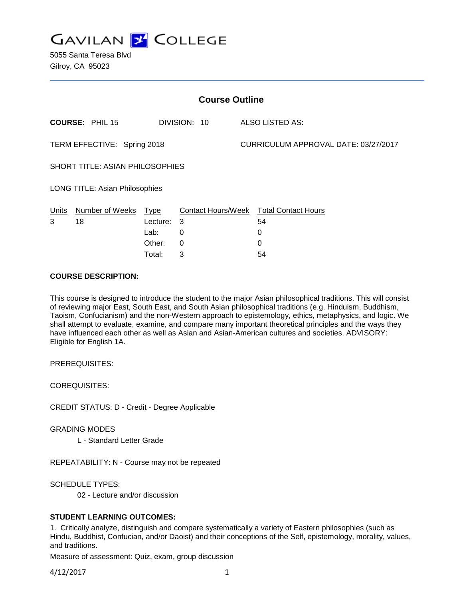

5055 Santa Teresa Blvd Gilroy, CA 95023

| <b>Course Outline</b>           |                        |          |              |  |                                        |  |
|---------------------------------|------------------------|----------|--------------|--|----------------------------------------|--|
|                                 | <b>COURSE: PHIL 15</b> |          | DIVISION: 10 |  | <b>ALSO LISTED AS:</b>                 |  |
| TERM EFFECTIVE: Spring 2018     |                        |          |              |  | CURRICULUM APPROVAL DATE: 03/27/2017   |  |
| SHORT TITLE: ASIAN PHILOSOPHIES |                        |          |              |  |                                        |  |
| LONG TITLE: Asian Philosophies  |                        |          |              |  |                                        |  |
| Units                           | Number of Weeks Type   |          |              |  | Contact Hours/Week Total Contact Hours |  |
| 3                               | 18                     | Lecture: | -3           |  | 54                                     |  |
|                                 |                        | Lab:     | 0            |  | 0                                      |  |
|                                 |                        | Other:   | $\Omega$     |  | 0                                      |  |
|                                 |                        | Total:   | 3            |  | 54                                     |  |

## **COURSE DESCRIPTION:**

This course is designed to introduce the student to the major Asian philosophical traditions. This will consist of reviewing major East, South East, and South Asian philosophical traditions (e.g. Hinduism, Buddhism, Taoism, Confucianism) and the non-Western approach to epistemology, ethics, metaphysics, and logic. We shall attempt to evaluate, examine, and compare many important theoretical principles and the ways they have influenced each other as well as Asian and Asian-American cultures and societies. ADVISORY: Eligible for English 1A.

PREREQUISITES:

COREQUISITES:

CREDIT STATUS: D - Credit - Degree Applicable

GRADING MODES

L - Standard Letter Grade

REPEATABILITY: N - Course may not be repeated

SCHEDULE TYPES:

02 - Lecture and/or discussion

## **STUDENT LEARNING OUTCOMES:**

1. Critically analyze, distinguish and compare systematically a variety of Eastern philosophies (such as Hindu, Buddhist, Confucian, and/or Daoist) and their conceptions of the Self, epistemology, morality, values, and traditions.

Measure of assessment: Quiz, exam, group discussion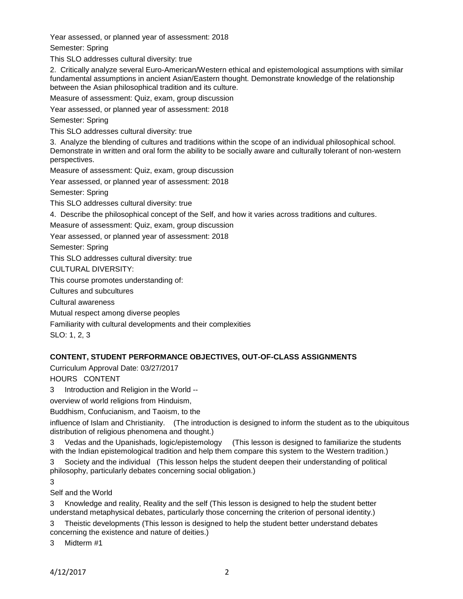Year assessed, or planned year of assessment: 2018

Semester: Spring

This SLO addresses cultural diversity: true

2. Critically analyze several Euro-American/Western ethical and epistemological assumptions with similar fundamental assumptions in ancient Asian/Eastern thought. Demonstrate knowledge of the relationship between the Asian philosophical tradition and its culture.

Measure of assessment: Quiz, exam, group discussion

Year assessed, or planned year of assessment: 2018

Semester: Spring

This SLO addresses cultural diversity: true

3. Analyze the blending of cultures and traditions within the scope of an individual philosophical school. Demonstrate in written and oral form the ability to be socially aware and culturally tolerant of non-western perspectives.

Measure of assessment: Quiz, exam, group discussion

Year assessed, or planned year of assessment: 2018

Semester: Spring

This SLO addresses cultural diversity: true

4. Describe the philosophical concept of the Self, and how it varies across traditions and cultures.

Measure of assessment: Quiz, exam, group discussion

Year assessed, or planned year of assessment: 2018

Semester: Spring

This SLO addresses cultural diversity: true

CULTURAL DIVERSITY:

This course promotes understanding of:

Cultures and subcultures

Cultural awareness

Mutual respect among diverse peoples

Familiarity with cultural developments and their complexities

SLO: 1, 2, 3

# **CONTENT, STUDENT PERFORMANCE OBJECTIVES, OUT-OF-CLASS ASSIGNMENTS**

Curriculum Approval Date: 03/27/2017

HOURS CONTENT

3 Introduction and Religion in the World --

overview of world religions from Hinduism,

Buddhism, Confucianism, and Taoism, to the

influence of Islam and Christianity. (The introduction is designed to inform the student as to the ubiquitous distribution of religious phenomena and thought.)

3 Vedas and the Upanishads, logic/epistemology (This lesson is designed to familiarize the students with the Indian epistemological tradition and help them compare this system to the Western tradition.)

3 Society and the individual (This lesson helps the student deepen their understanding of political philosophy, particularly debates concerning social obligation.)

3

Self and the World

3 Knowledge and reality, Reality and the self (This lesson is designed to help the student better understand metaphysical debates, particularly those concerning the criterion of personal identity.)

3 Theistic developments (This lesson is designed to help the student better understand debates concerning the existence and nature of deities.)

3 Midterm #1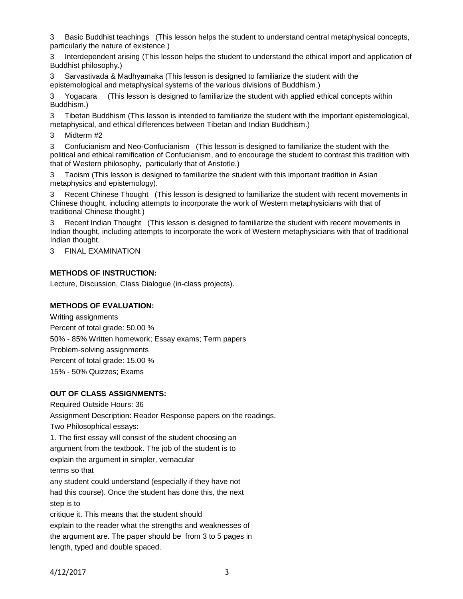3 Basic Buddhist teachings (This lesson helps the student to understand central metaphysical concepts, particularly the nature of existence.)

Interdependent arising (This lesson helps the student to understand the ethical import and application of Buddhist philosophy.)

3 Sarvastivada & Madhyamaka (This lesson is designed to familiarize the student with the epistemological and metaphysical systems of the various divisions of Buddhism.)

3 Yogacara (This lesson is designed to familiarize the student with applied ethical concepts within Buddhism.)

3 Tibetan Buddhism (This lesson is intended to familiarize the student with the important epistemological, metaphysical, and ethical differences between Tibetan and Indian Buddhism.)

Midterm #2

3 Confucianism and Neo-Confucianism (This lesson is designed to familiarize the student with the political and ethical ramification of Confucianism, and to encourage the student to contrast this tradition with that of Western philosophy, particularly that of Aristotle.)

3 Taoism (This lesson is designed to familiarize the student with this important tradition in Asian metaphysics and epistemology).

3 Recent Chinese Thought (This lesson is designed to familiarize the student with recent movements in Chinese thought, including attempts to incorporate the work of Western metaphysicians with that of traditional Chinese thought.)

3 Recent Indian Thought (This lesson is designed to familiarize the student with recent movements in Indian thought, including attempts to incorporate the work of Western metaphysicians with that of traditional Indian thought.

3 FINAL EXAMINATION

## **METHODS OF INSTRUCTION:**

Lecture, Discussion, Class Dialogue (in-class projects).

#### **METHODS OF EVALUATION:**

Writing assignments Percent of total grade: 50.00 % 50% - 85% Written homework; Essay exams; Term papers Problem-solving assignments Percent of total grade: 15.00 % 15% - 50% Quizzes; Exams

## **OUT OF CLASS ASSIGNMENTS:**

Required Outside Hours: 36 Assignment Description: Reader Response papers on the readings. Two Philosophical essays: 1. The first essay will consist of the student choosing an argument from the textbook. The job of the student is to explain the argument in simpler, vernacular terms so that any student could understand (especially if they have not had this course). Once the student has done this, the next step is to critique it. This means that the student should explain to the reader what the strengths and weaknesses of the argument are. The paper should be from 3 to 5 pages in length, typed and double spaced.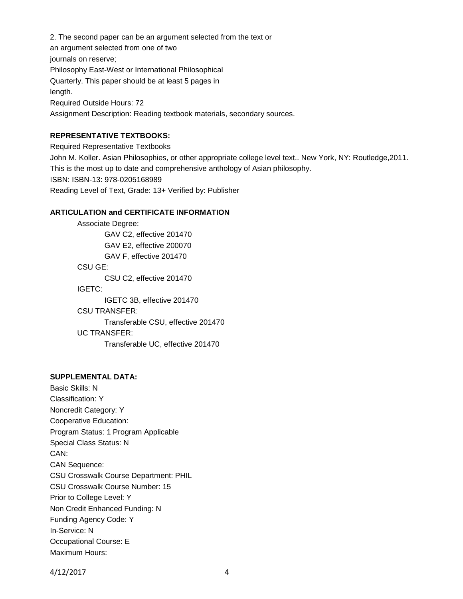2. The second paper can be an argument selected from the text or an argument selected from one of two journals on reserve; Philosophy East-West or International Philosophical Quarterly. This paper should be at least 5 pages in length. Required Outside Hours: 72 Assignment Description: Reading textbook materials, secondary sources.

### **REPRESENTATIVE TEXTBOOKS:**

Required Representative Textbooks

John M. Koller. Asian Philosophies, or other appropriate college level text.. New York, NY: Routledge,2011. This is the most up to date and comprehensive anthology of Asian philosophy. ISBN: ISBN-13: 978-0205168989 Reading Level of Text, Grade: 13+ Verified by: Publisher

## **ARTICULATION and CERTIFICATE INFORMATION**

Associate Degree: GAV C2, effective 201470 GAV E2, effective 200070 GAV F, effective 201470 CSU GE: CSU C2, effective 201470 IGETC: IGETC 3B, effective 201470 CSU TRANSFER: Transferable CSU, effective 201470 UC TRANSFER:

Transferable UC, effective 201470

## **SUPPLEMENTAL DATA:**

Basic Skills: N Classification: Y Noncredit Category: Y Cooperative Education: Program Status: 1 Program Applicable Special Class Status: N CAN: CAN Sequence: CSU Crosswalk Course Department: PHIL CSU Crosswalk Course Number: 15 Prior to College Level: Y Non Credit Enhanced Funding: N Funding Agency Code: Y In-Service: N Occupational Course: E Maximum Hours:

4/12/2017 4